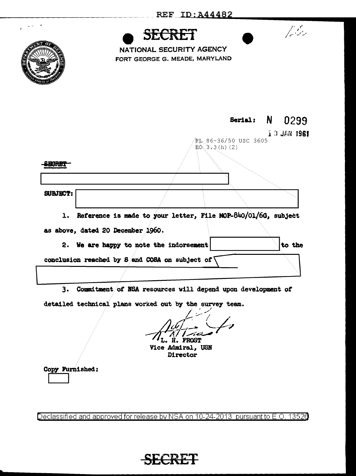

Declassified and approved for release by NSA on 10-24-2013 pursuant to E.O. 13520